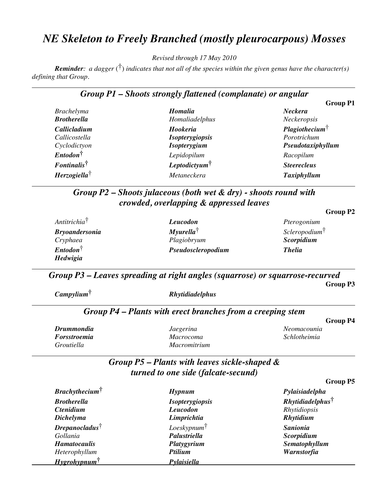# *NE Skeleton to Freely Branched (mostly pleurocarpous) Mosses*

*Revised through 17 May 2010*

*Reminder: a dagger* (†) *indicates that not all of the species within the given genus have the character(s) defining that Group.*

### *Group P1 – Shoots strongly flattened (complanate) or angular*

|                                         |                           | <b>Group P1</b>              |
|-----------------------------------------|---------------------------|------------------------------|
| <b>Brachelyma</b>                       | <b>Homalia</b>            | <b>Neckera</b>               |
| <b>Brotherella</b>                      | Homaliadelphus            | Neckeropsis                  |
| Callicladium                            | Hookeria                  | Plagio the cium <sup>†</sup> |
| Callicostella                           | <b>Isopterygiopsis</b>    | Porotrichum                  |
| Cyclodictyon                            | <b>Isopterygium</b>       | Pseudotaxiphyllum            |
| $Entodon^{\dagger}$                     | Lepidopilum               | Racopilum                    |
| $\pmb{F}$ <i>ontinalis</i> <sup>†</sup> | Leptodictyum <sup>†</sup> | <b>Steerecleus</b>           |
| $Herzogiella^{\dagger}$                 | Metaneckera               | Taxiphyllum                  |

## *Group P2 – Shoots julaceous (both wet & dry) - shoots round with crowded, overlapping & appressed leaves*

| Antitrichia <sup>†</sup> | <b>Leucodon</b>          | Pterogonium                |
|--------------------------|--------------------------|----------------------------|
| <b>Bryoandersonia</b>    | $M$ yurella <sup>†</sup> | Sclero podium <sup>†</sup> |
| Cryphaea                 | Plagiobryum              | Scorpidium                 |
| $Entodon^{\dagger}$      | Pseudoscleropodium       | <b>Thelia</b>              |
| Hedwigia                 |                          |                            |

*Group P3 – Leaves spreading at right angles (squarrose) or squarrose-recurved* **Group P3**

| $Camp$ ylium <sup>†</sup> | <b>Rhytidiadelphus</b>                                     |                 |
|---------------------------|------------------------------------------------------------|-----------------|
|                           | Group P4 – Plants with erect branches from a creeping stem | <b>Group P4</b> |
| <b>Drummondia</b>         | Jaegerina                                                  | Neomacounia     |
| Forsstroemia              | Macrocoma                                                  | Schlotheimia    |

### *Group P5 – Plants with leaves sickle-shaped & turned to one side (falcate-secund)*

*Groutiella Macromitrium*

| Brachy the cium <sup>†</sup>  | Hypnum                  | Pylaisiadelpha                  |
|-------------------------------|-------------------------|---------------------------------|
| <b>Brotherella</b>            | <b>Isopterygiopsis</b>  | $Rh$ ytidiadelphus <sup>†</sup> |
| <b>Ctenidium</b>              | <b>Leucodon</b>         | Rhytidiopsis                    |
| <b>Dichelyma</b>              | Limprichtia             | Rhytidium                       |
| $D$ repanocladus <sup>†</sup> | $Lossk$ ypnum $\dagger$ | <b>Sanionia</b>                 |
| Gollania                      | Palustriella            | Scorpidium                      |
| <b>Hamatocaulis</b>           | Platygyrium             | Sematophyllum                   |
| Heterophyllum                 | <b>Ptilium</b>          | Warnstorfia                     |
| $Hy$ grohypnum <sup>†</sup>   | Pylaisiella             |                                 |

### **Group P2**

**Group P5**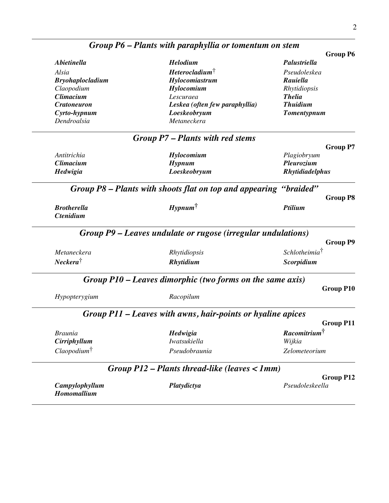|                                        |                                                                   | <b>Group P6</b>                     |
|----------------------------------------|-------------------------------------------------------------------|-------------------------------------|
| <i><b>Abietinella</b></i>              | Helodium                                                          | Palustriella                        |
| Alsia                                  | $Heterocladium^{\dagger}$                                         | Pseudoleskea                        |
| <b>Bryohaplocladium</b>                | Hylocomiastrum                                                    | Rauiella                            |
| Claopodium                             | Hylocomium                                                        | Rhytidiopsis                        |
| <b>Climacium</b>                       | Lescuraea                                                         | <b>Thelia</b>                       |
| <b>Cratoneuron</b>                     | Leskea (often few paraphyllia)                                    | <b>Thuidium</b>                     |
| Cyrto-hypnum                           | Loeskeobryum                                                      | <b>Tomentypnum</b>                  |
| Dendroalsia                            | Metaneckera                                                       |                                     |
|                                        | Group P7 – Plants with red stems                                  |                                     |
|                                        |                                                                   | <b>Group P7</b>                     |
| Antitrichia                            | Hylocomium                                                        | Plagiobryum                         |
| <b>Climacium</b>                       | $H$ ypnum                                                         | Pleurozium                          |
| Hedwigia                               | Loeskeobryum                                                      | <b>Rhytidiadelphus</b>              |
|                                        | Group P8 – Plants with shoots flat on top and appearing "braided" |                                     |
|                                        |                                                                   | <b>Group P8</b>                     |
|                                        |                                                                   | Ptilium                             |
| <b>Brotherella</b><br><b>Ctenidium</b> | $Hypnum^{\dagger}$                                                |                                     |
|                                        | Group P9 – Leaves undulate or rugose (irregular undulations)      | <b>Group P9</b>                     |
|                                        | Rhytidiopsis                                                      | Schlotheimia <sup>†</sup>           |
|                                        | <b>Rhytidium</b>                                                  | Scorpidium                          |
| Metaneckera<br>$Neckera^{\dagger}$     | Group P10 – Leaves dimorphic (two forms on the same axis)         |                                     |
|                                        |                                                                   | <b>Group P10</b>                    |
| Hypopterygium                          | Racopilum                                                         |                                     |
|                                        | Group P11 – Leaves with awns, hair-points or hyaline apices       |                                     |
|                                        |                                                                   | <b>Group P11</b>                    |
| <i>Braunia</i>                         | Hedwigia                                                          | Racomitrium <sup>†</sup>            |
| Cirriphyllum                           | Iwatsukiella                                                      | Wijkia                              |
| $Claopodium^{\dagger}$                 | Pseudobraunia                                                     | Zelometeorium                       |
|                                        | Group $P12$ – Plants thread-like (leaves $\langle 1$ mm)          |                                     |
| Campylophyllum                         | Platydictya                                                       | <b>Group P12</b><br>Pseudoleskeella |

# *Group P6 – Plants with paraphyllia or tomentum on stem*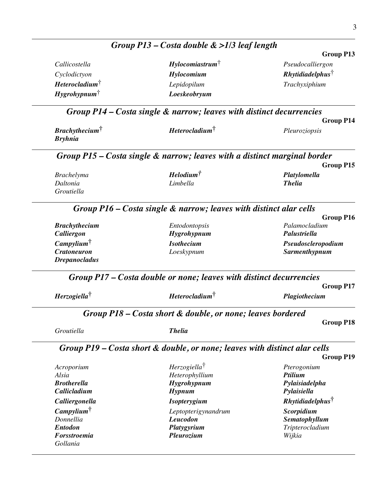|                                 | Group $P13$ – Costa double $\&$ >1/3 leaf length                           |                                     |
|---------------------------------|----------------------------------------------------------------------------|-------------------------------------|
| <b>Group P13</b>                |                                                                            |                                     |
| Pseudocalliergon                | Hylocomiastrum                                                             | Callicostella                       |
| $Rh$ ytidiadelphus <sup>†</sup> | Hylocomium                                                                 | Cyclodictyon                        |
| Trachyxiphium                   | Lepidopilum                                                                | Heterocladium <sup>†</sup>          |
|                                 | Loeskeobryum                                                               | $Hy$ grohypnum                      |
| <b>Group P14</b>                | Group P14 – Costa single & narrow; leaves with distinct decurrencies       |                                     |
| Pleuroziopsis                   | Heterocladium <sup>†</sup>                                                 | <b>Brachythecium</b>                |
|                                 |                                                                            | <b>Bryhnia</b>                      |
|                                 | Group P15 – Costa single & narrow; leaves with a distinct marginal border  |                                     |
| <b>Group P15</b>                |                                                                            |                                     |
| Platylomella                    | $H$ elodium $^{\dagger}$                                                   | <b>Brachelyma</b>                   |
| <b>Thelia</b>                   | Limbella                                                                   | Daltonia<br>Groutiella              |
|                                 | Group P16 - Costa single & narrow; leaves with distinct alar cells         |                                     |
| Group P16<br>Palamocladium      | Entodontopsis                                                              | <b>Brachythecium</b>                |
| Palustriella                    | <b>Hygrohypnum</b>                                                         | Calliergon                          |
| Pseudoscleropodium              | <b>Isothecium</b>                                                          | $Camp$ ylium                        |
| <b>Sarmenthypnum</b>            | Loeskypnum                                                                 | <b>Cratoneuron</b>                  |
|                                 |                                                                            | <b>Drepanocladus</b>                |
|                                 | Group P17 – Costa double or none; leaves with distinct decurrencies        |                                     |
| <b>Group P17</b>                | Heterocladium <sup>†</sup>                                                 | Herzogiella <sup>†</sup>            |
| Plagiothecium                   |                                                                            |                                     |
|                                 | Group P18 – Costa short & double, or none; leaves bordered                 |                                     |
| <b>Group P18</b>                |                                                                            |                                     |
|                                 | <b>Thelia</b>                                                              | Groutiella                          |
|                                 | Group P19 – Costa short & double, or none; leaves with distinct alar cells |                                     |
| <b>Group P19</b>                |                                                                            |                                     |
| Pterogonium<br>Ptilium          | Herzogiella <sup>†</sup>                                                   | Acroporium                          |
| Pylaisiadelpha                  | Heterophyllium<br><b>Hygrohypnum</b>                                       | Alsia<br><b>Brotherella</b>         |
| Pylaisiella                     | Hypnum                                                                     | Callicladium                        |
| <i>Rhytidiadelphus</i>          | <b>Isopterygium</b>                                                        | Calliergonella                      |
| Scorpidium                      | Leptopterigynandrum                                                        |                                     |
| Sematophyllum                   | Leucodon                                                                   | Campylium <sup>†</sup><br>Donnellia |
| Tripterocladium<br>Wijkia       | Platygyrium<br>Pleurozium                                                  | <b>Entodon</b><br>Forsstroemia      |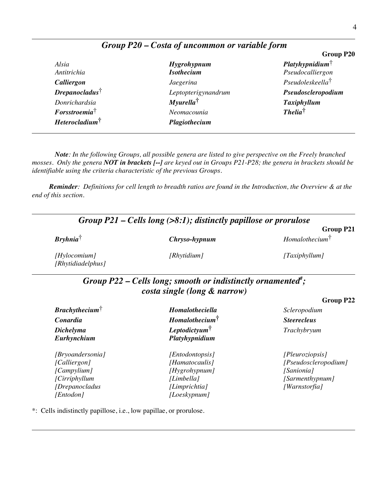|                          | <b>Group P20</b>             |
|--------------------------|------------------------------|
| <b>Hygrohypnum</b>       | $Platyhypnidium^{\dagger}$   |
| <b>Isothecium</b>        | Pseudocalliergon             |
| Jaegerina                | Pseudoleskeella <sup>†</sup> |
| Leptopterigynandrum      | Pseudoscleropodium           |
| $M$ yurella <sup>†</sup> | <b>Taxiphyllum</b>           |
| Neomacounia              | $The lia^{\dagger}$          |
| Plagiothecium            |                              |
|                          |                              |

# *Group P20 – Costa of uncommon or variable form*

*Note: In the following Groups, all possible genera are listed to give perspective on the Freely branched mosses. Only the genera NOT in brackets [--] are keyed out in Groups P21-P28; the genera in brackets should be identifiable using the criteria characteristic of the previous Groups.*

*Reminder: Definitions for cell length to breadth ratios are found in the Introduction, the Overview & at the end of this section.*

| Group $P21$ – Cells long (>8:1); distinctly papillose or prorulose |                                                                                                          |                            |
|--------------------------------------------------------------------|----------------------------------------------------------------------------------------------------------|----------------------------|
|                                                                    |                                                                                                          | <b>Group P21</b>           |
| $Bryhnia^{\dagger}$                                                | Chryso-hypnum                                                                                            | Homalothecium <sup>T</sup> |
| [Hylocomium]<br>[Rhytidiadelphus]                                  | [Rhytidium]                                                                                              | [Taxiphyllum]              |
|                                                                    | Group P22 – Cells long; smooth or indistinctly ornamented <sup>#</sup> ;<br>costa single (long & narrow) |                            |
|                                                                    |                                                                                                          | Group P22                  |
| $Brachy the cium^{\dagger}$                                        | Homalotheciella                                                                                          | Scleropodium               |
| Conardia                                                           | Homalothecium <sup>†</sup>                                                                               | <b>Steerecleus</b>         |
| <b>Dichelyma</b>                                                   | Leptodictvum                                                                                             | Trachybryum                |
| Eurhynchium                                                        | Platyhypnidium                                                                                           |                            |
| [Bryoandersonia]                                                   | [Entodontopsis]                                                                                          | [Pleuroziopsis]            |
| [Calliergon]                                                       | [Hamatocaulis]                                                                                           | [Pseudoscleropodium]       |
| [Campylium]                                                        | [Hygrohypnum]                                                                                            | [Sanionia]                 |
| [Cirriphyllum]                                                     | [Limbella]                                                                                               | [Sarmenthypnum]            |
| [Drepanocladus                                                     | [Limprichtia]                                                                                            | [Warnstorfia]              |
| [Entodon]                                                          | [Loeskypnum]                                                                                             |                            |

\*: Cells indistinctly papillose, i.e., low papillae, or prorulose.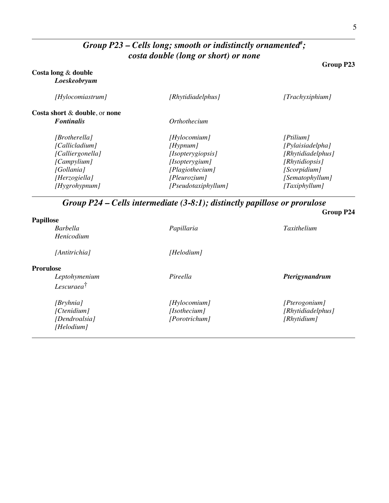### *Group P23 – Cells long; smooth or indistinctly ornamented# ; costa double (long or short) or none*

### **Costa long** & **double** *Loeskeobryum*

| [Rhytidiadelphus]   | [Trachyxiphium]                                                                    |
|---------------------|------------------------------------------------------------------------------------|
| Orthothecium        |                                                                                    |
|                     | [Ptilium]                                                                          |
|                     | [Pylaisiadelpha]                                                                   |
|                     | [Rhytidiadelphus]                                                                  |
|                     | [Rhytidiopsis]                                                                     |
|                     | [Scorpidium]                                                                       |
| [Pleurozium]        | [Sematophyllum]                                                                    |
| [Pseudotaxiphyllum] | [Taxiphyllum]                                                                      |
|                     | [Hylocomium]<br>[Hypnum]<br>[Isopterygiopsis]<br>[Isopterygium]<br>[Plagiothecium] |

*Group P24 – Cells intermediate (3-8:1); distinctly papillose or prorulose*

|               | Group P24         |
|---------------|-------------------|
|               |                   |
| Papillaria    | Taxithelium       |
|               |                   |
| [Helodium]    |                   |
|               |                   |
| Pireella      | Pterigynandrum    |
|               |                   |
| [Hylocomium]  | [Pterogonium]     |
| [Isothecium]  | [Rhytidiadelphus] |
| [Porotrichum] | [Rhytidium]       |
|               |                   |
|               |                   |

**Group P23**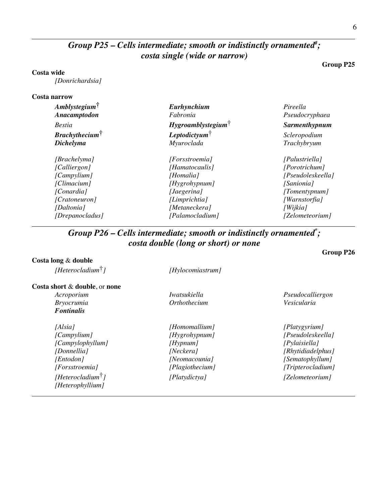### *Group P25 – Cells intermediate; smooth or indistinctly ornamented# ; costa single (wide or narrow)*

#### **Costa wide**

*[Donrichardsia]*

#### **Costa narrow**

| $Amblystegium^{\dagger}$ | Eurhynchium                       | Pireella             |
|--------------------------|-----------------------------------|----------------------|
| Anacamptodon             | Fabronia                          | Pseudocryphaea       |
| <b>Bestia</b>            | $Hy$ groamblystegium $^{\dagger}$ | <b>Sarmenthypnum</b> |
| Brachy the cium          | Leptodictyum $\dagger$            | Scleropodium         |
| <b>Dichelyma</b>         | Myuroclada                        | Trachybryum          |
| [Brachelyma]             | [Forsstroemia]                    | [Palustriella]       |
| [Calliergon]             | [Hamatocaulis]                    | [Porotrichum]        |
| [Campylium]              | [Homalia]                         | [Pseudoleskeella]    |
| [Climacium]              | [Hygrohypnum]                     | [Sanionia]           |
| [Conardia]               | [Jaegerina]                       | [Tomentypnum]        |
| [Cratoneuron]            | [Limprichtia]                     | [Warnstorfia]        |
| [Daltonia]               | [Metaneckera]                     | [Wijkia]             |
| [Drepanocladus]          | [Palamocladium]                   | [Zelometeorium]      |

### *Group P26 – Cells intermediate; smooth or indistinctly ornamented\* ; costa double (long or short) or none*

#### **Costa long** & **double**

**Costa short** & **double**, or **none**

*[Heterophyllium]*

*Fontinalis*

*[Heterocladium*†*] [Hylocomiastrum]*

# *Bryocrumia Orthothecium Vesicularia*

*[Alsia] [Homomallium] [Platygyrium] [Campylophyllum] [Hypnum] [Pylaisiella]*

*Acroporium Iwatsukiella Pseudocalliergon*

*[Campylium] [Hygrohypnum] [Pseudoleskeella] [Donnellia] [Neckera] [Rhytidiadelphus] [Entodon] [Neomacounia] [Sematophyllum] [Forsstroemia] [Plagiothecium] [Tripterocladium] [Heterocladium*†*] [Platydictya] [Zelometeorium]*

**Group P25**

### **Group P26**